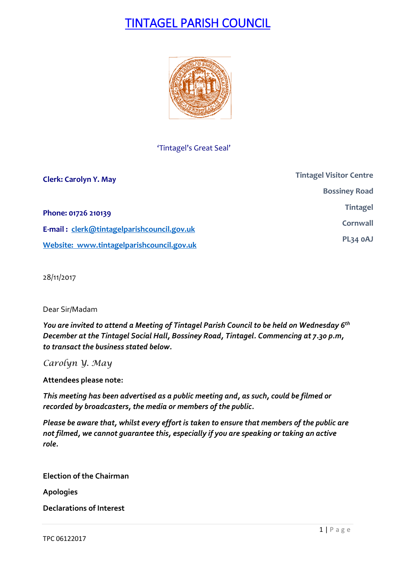# TINTAGEL PARISH COUNCIL



'Tintagel's Great Seal'

| <b>Clerk: Carolyn Y. May</b>               | <b>Tintagel Visitor Centre</b> |
|--------------------------------------------|--------------------------------|
|                                            | <b>Bossiney Road</b>           |
| Phone: 01726 210139                        | <b>Tintagel</b>                |
| E-mail: clerk@tintagelparishcouncil.gov.uk | Cornwall                       |
| Website: www.tintagelparishcouncil.gov.uk  | PL34 OAJ                       |

28/11/2017

Dear Sir/Madam

*You are invited to attend a Meeting of Tintagel Parish Council to be held on Wednesday 6 th December at the Tintagel Social Hall, Bossiney Road, Tintagel. Commencing at 7.30 p.m, to transact the business stated below.*

*Carolyn Y. May*

**Attendees please note:**

*This meeting has been advertised as a public meeting and, as such, could be filmed or recorded by broadcasters, the media or members of the public.*

*Please be aware that, whilst every effort is taken to ensure that members of the public are not filmed, we cannot guarantee this, especially if you are speaking or taking an active role.*

**Election of the Chairman**

**Apologies**

**Declarations of Interest**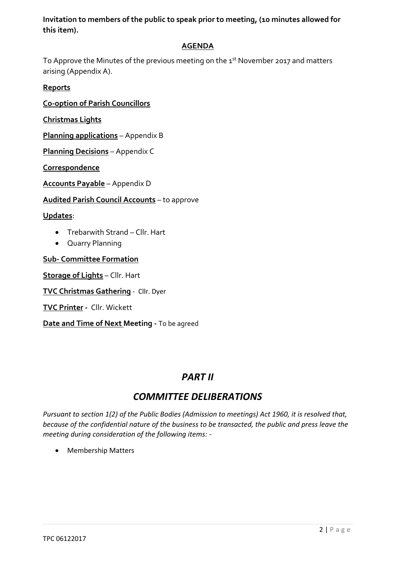**Invitation to members of the public to speak prior to meeting, (10 minutes allowed for this item).**

#### **AGENDA**

To Approve the Minutes of the previous meeting on the  $\texttt{1st}$  November 2017 and matters arising (Appendix A).

#### **Reports**

**Co-option of Parish Councillors**

**Christmas Lights** 

**Planning applications** – Appendix B

**Planning Decisions** – Appendix C

**Correspondence**

**Accounts Payable** – Appendix D

**Audited Parish Council Accounts** – to approve

**Updates**:

- Trebarwith Strand Cllr. Hart
- Quarry Planning

**Sub- Committee Formation**

**Storage of Lights** – Cllr. Hart

**TVC Christmas Gathering** - Cllr. Dyer

**TVC Printer -** Cllr. Wickett

**Date and Time of Next Meeting -** To be agreed

## *PART II*

## *COMMITTEE DELIBERATIONS*

*Pursuant to section 1(2) of the Public Bodies (Admission to meetings) Act 1960, it is resolved that, because of the confidential nature of the business to be transacted, the public and press leave the meeting during consideration of the following items: -*

• Membership Matters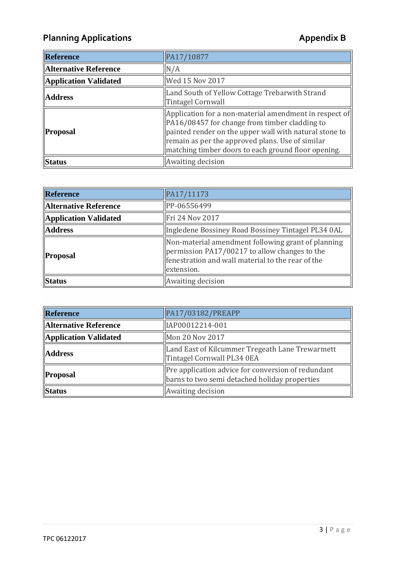## Planning Applications **Applications Appendix B**

| Reference             | PA17/10877                                                                                                                                                                                                                                                                   |
|-----------------------|------------------------------------------------------------------------------------------------------------------------------------------------------------------------------------------------------------------------------------------------------------------------------|
| Alternative Reference | N/A                                                                                                                                                                                                                                                                          |
| Application Validated | Wed 15 Nov 2017                                                                                                                                                                                                                                                              |
| <b>Address</b>        | Land South of Yellow Cottage Trebarwith Strand<br><b>Tintagel Cornwall</b>                                                                                                                                                                                                   |
| <b>Proposal</b>       | Application for a non-material amendment in respect of<br>PA16/08457 for change from timber cladding to<br>painted render on the upper wall with natural stone to<br>remain as per the approved plans. Use of similar<br>matching timber doors to each ground floor opening. |
| Status                | Awaiting decision                                                                                                                                                                                                                                                            |

| Reference                    | PA17/11173                                                                                                                                                                      |
|------------------------------|---------------------------------------------------------------------------------------------------------------------------------------------------------------------------------|
| <b>Alternative Reference</b> | PP-06556499                                                                                                                                                                     |
| Application Validated        | Fri 24 Nov 2017                                                                                                                                                                 |
| <b>Address</b>               | Ingledene Bossiney Road Bossiney Tintagel PL34 0AL                                                                                                                              |
| <b>Proposal</b>              | Non-material amendment following grant of planning<br>$\gamma$ permission PA17/00217 to allow changes to the<br>fenestration and wall material to the rear of the<br>extension. |
| Status                       | Awaiting decision                                                                                                                                                               |

| Reference                    | PA17/03182/PREAPP                                                                                   |
|------------------------------|-----------------------------------------------------------------------------------------------------|
| <b>Alternative Reference</b> | IAP00012214-001                                                                                     |
| Application Validated        | Mon 20 Nov 2017                                                                                     |
| <b>Address</b>               | Land East of Kilcummer Tregeath Lane Trewarmett<br>Tintagel Cornwall PL34 0EA                       |
| Proposal                     | Pre application advice for conversion of redundant<br>barns to two semi detached holiday properties |
| <b>Status</b>                | Awaiting decision                                                                                   |